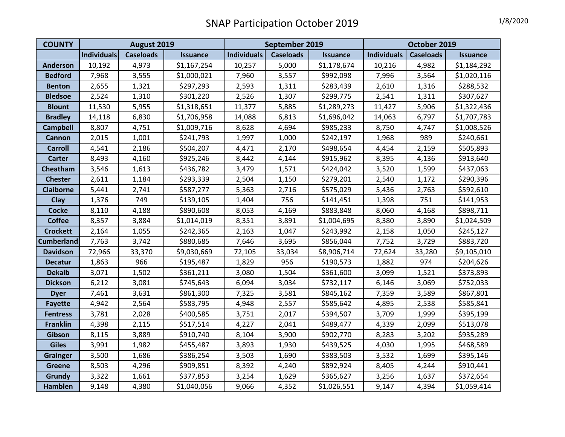| <b>COUNTY</b>     | August 2019        |                  |                 | September 2019     |                  |                 | October 2019       |                  |                 |
|-------------------|--------------------|------------------|-----------------|--------------------|------------------|-----------------|--------------------|------------------|-----------------|
|                   | <b>Individuals</b> | <b>Caseloads</b> | <b>Issuance</b> | <b>Individuals</b> | <b>Caseloads</b> | <b>Issuance</b> | <b>Individuals</b> | <b>Caseloads</b> | <b>Issuance</b> |
| <b>Anderson</b>   | 10,192             | 4,973            | \$1,167,254     | 10,257             | 5,000            | \$1,178,674     | 10,216             | 4,982            | \$1,184,292     |
| <b>Bedford</b>    | 7,968              | 3,555            | \$1,000,021     | 7,960              | 3,557            | \$992,098       | 7,996              | 3,564            | \$1,020,116     |
| <b>Benton</b>     | 2,655              | 1,321            | \$297,293       | 2,593              | 1,311            | \$283,439       | 2,610              | 1,316            | \$288,532       |
| <b>Bledsoe</b>    | 2,524              | 1,310            | \$301,220       | 2,526              | 1,307            | \$299,775       | 2,541              | 1,311            | \$307,627       |
| <b>Blount</b>     | 11,530             | 5,955            | \$1,318,651     | 11,377             | 5,885            | \$1,289,273     | 11,427             | 5,906            | \$1,322,436     |
| <b>Bradley</b>    | 14,118             | 6,830            | \$1,706,958     | 14,088             | 6,813            | \$1,696,042     | 14,063             | 6,797            | \$1,707,783     |
| <b>Campbell</b>   | 8,807              | 4,751            | \$1,009,716     | 8,628              | 4,694            | \$985,233       | 8,750              | 4,747            | \$1,008,526     |
| <b>Cannon</b>     | 2,015              | 1,001            | \$241,793       | 1,997              | 1,000            | \$242,197       | 1,968              | 989              | \$240,661       |
| <b>Carroll</b>    | 4,541              | 2,186            | \$504,207       | 4,471              | 2,170            | \$498,654       | 4,454              | 2,159            | \$505,893       |
| <b>Carter</b>     | 8,493              | 4,160            | \$925,246       | 8,442              | 4,144            | \$915,962       | 8,395              | 4,136            | \$913,640       |
| Cheatham          | 3,546              | 1,613            | \$436,782       | 3,479              | 1,571            | \$424,042       | 3,520              | 1,599            | \$437,063       |
| <b>Chester</b>    | 2,611              | 1,184            | \$293,339       | 2,504              | 1,150            | \$279,201       | 2,540              | 1,172            | \$290,396       |
| <b>Claiborne</b>  | 5,441              | 2,741            | \$587,277       | 5,363              | 2,716            | \$575,029       | 5,436              | 2,763            | \$592,610       |
| Clay              | 1,376              | 749              | \$139,105       | 1,404              | 756              | \$141,451       | 1,398              | 751              | \$141,953       |
| <b>Cocke</b>      | 8,110              | 4,188            | \$890,608       | 8,053              | 4,169            | \$883,848       | 8,060              | 4,168            | \$898,711       |
| <b>Coffee</b>     | 8,357              | 3,884            | \$1,014,019     | 8,351              | 3,891            | \$1,004,695     | 8,380              | 3,890            | \$1,024,509     |
| <b>Crockett</b>   | 2,164              | 1,055            | \$242,365       | 2,163              | 1,047            | \$243,992       | 2,158              | 1,050            | \$245,127       |
| <b>Cumberland</b> | 7,763              | 3,742            | \$880,685       | 7,646              | 3,695            | \$856,044       | 7,752              | 3,729            | \$883,720       |
| <b>Davidson</b>   | 72,966             | 33,370           | \$9,030,669     | 72,105             | 33,034           | \$8,906,714     | 72,624             | 33,280           | \$9,105,010     |
| <b>Decatur</b>    | 1,863              | 966              | \$195,487       | 1,829              | 956              | \$190,573       | 1,882              | 974              | \$204,626       |
| <b>Dekalb</b>     | 3,071              | 1,502            | \$361,211       | 3,080              | 1,504            | \$361,600       | 3,099              | 1,521            | \$373,893       |
| <b>Dickson</b>    | 6,212              | 3,081            | \$745,643       | 6,094              | 3,034            | \$732,117       | 6,146              | 3,069            | \$752,033       |
| <b>Dyer</b>       | 7,461              | 3,631            | \$861,300       | 7,325              | 3,581            | \$845,162       | 7,359              | 3,589            | \$867,801       |
| <b>Fayette</b>    | 4,942              | 2,564            | \$583,795       | 4,948              | 2,557            | \$585,642       | 4,895              | 2,538            | \$585,841       |
| <b>Fentress</b>   | 3,781              | 2,028            | \$400,585       | 3,751              | 2,017            | \$394,507       | 3,709              | 1,999            | \$395,199       |
| <b>Franklin</b>   | 4,398              | 2,115            | \$517,514       | 4,227              | 2,041            | \$489,477       | 4,339              | 2,099            | \$513,078       |
| Gibson            | 8,115              | 3,889            | \$910,740       | 8,104              | 3,900            | \$902,770       | 8,283              | 3,202            | \$935,289       |
| <b>Giles</b>      | 3,991              | 1,982            | \$455,487       | 3,893              | 1,930            | \$439,525       | 4,030              | 1,995            | \$468,589       |
| <b>Grainger</b>   | 3,500              | 1,686            | \$386,254       | 3,503              | 1,690            | \$383,503       | 3,532              | 1,699            | \$395,146       |
| <b>Greene</b>     | 8,503              | 4,296            | \$909,851       | 8,392              | 4,240            | \$892,924       | 8,405              | 4,244            | \$910,441       |
| Grundy            | 3,322              | 1,661            | \$377,853       | 3,254              | 1,629            | \$365,627       | 3,256              | 1,637            | \$372,654       |
| Hamblen           | 9,148              | 4,380            | \$1,040,056     | 9,066              | 4,352            | \$1,026,551     | 9,147              | 4,394            | \$1,059,414     |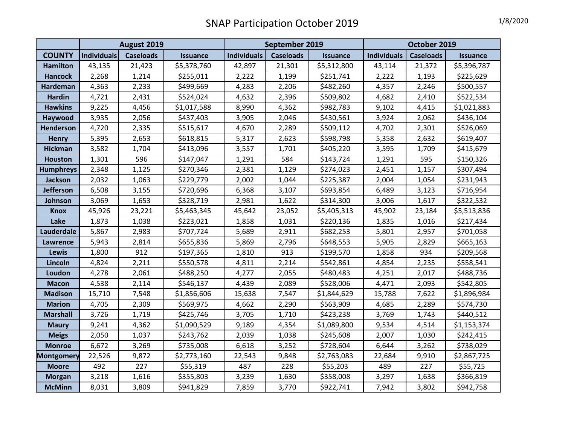|                  | August 2019 |                  |                 | September 2019     |                  |                 | October 2019       |                  |                 |
|------------------|-------------|------------------|-----------------|--------------------|------------------|-----------------|--------------------|------------------|-----------------|
| <b>COUNTY</b>    | Individuals | <b>Caseloads</b> | <b>Issuance</b> | <b>Individuals</b> | <b>Caseloads</b> | <b>Issuance</b> | <b>Individuals</b> | <b>Caseloads</b> | <b>Issuance</b> |
| <b>Hamilton</b>  | 43,135      | 21,423           | \$5,378,760     | 42,897             | 21,301           | \$5,312,800     | 43,114             | 21,372           | \$5,396,787     |
| <b>Hancock</b>   | 2,268       | 1,214            | \$255,011       | 2,222              | 1,199            | \$251,741       | 2,222              | 1,193            | \$225,629       |
| Hardeman         | 4,363       | 2,233            | \$499,669       | 4,283              | 2,206            | \$482,260       | 4,357              | 2,246            | \$500,557       |
| <b>Hardin</b>    | 4,721       | 2,431            | \$524,024       | 4,632              | 2,396            | \$509,802       | 4,682              | 2,410            | \$522,534       |
| <b>Hawkins</b>   | 9,225       | 4,456            | \$1,017,588     | 8,990              | 4,362            | \$982,783       | 9,102              | 4,415            | \$1,021,883     |
| Haywood          | 3,935       | 2,056            | \$437,403       | 3,905              | 2,046            | \$430,561       | 3,924              | 2,062            | \$436,104       |
| <b>Henderson</b> | 4,720       | 2,335            | \$515,617       | 4,670              | 2,289            | \$509,112       | 4,702              | 2,301            | \$526,069       |
| <b>Henry</b>     | 5,395       | 2,653            | \$618,815       | 5,317              | 2,623            | \$598,798       | 5,358              | 2,632            | \$619,407       |
| <b>Hickman</b>   | 3,582       | 1,704            | \$413,096       | 3,557              | 1,701            | \$405,220       | 3,595              | 1,709            | \$415,679       |
| <b>Houston</b>   | 1,301       | 596              | \$147,047       | 1,291              | 584              | \$143,724       | 1,291              | 595              | \$150,326       |
| <b>Humphreys</b> | 2,348       | 1,125            | \$270,346       | 2,381              | 1,129            | \$274,023       | 2,451              | 1,157            | \$307,494       |
| <b>Jackson</b>   | 2,032       | 1,063            | \$229,779       | 2,002              | 1,044            | \$225,387       | 2,004              | 1,054            | \$231,943       |
| <b>Jefferson</b> | 6,508       | 3,155            | \$720,696       | 6,368              | 3,107            | \$693,854       | 6,489              | 3,123            | \$716,954       |
| Johnson          | 3,069       | 1,653            | \$328,719       | 2,981              | 1,622            | \$314,300       | 3,006              | 1,617            | \$322,532       |
| <b>Knox</b>      | 45,926      | 23,221           | \$5,463,345     | 45,642             | 23,052           | \$5,405,313     | 45,902             | 23,184           | \$5,513,836     |
| Lake             | 1,873       | 1,038            | \$223,021       | 1,858              | 1,031            | \$220,136       | 1,835              | 1,016            | \$217,434       |
| Lauderdale       | 5,867       | 2,983            | \$707,724       | 5,689              | 2,911            | \$682,253       | 5,801              | 2,957            | \$701,058       |
| <b>Lawrence</b>  | 5,943       | 2,814            | \$655,836       | 5,869              | 2,796            | \$648,553       | 5,905              | 2,829            | \$665,163       |
| Lewis            | 1,800       | 912              | \$197,365       | 1,810              | 913              | \$199,570       | 1,858              | 934              | \$209,568       |
| Lincoln          | 4,824       | 2,211            | \$550,578       | 4,811              | 2,214            | \$542,861       | 4,854              | 2,235            | \$558,541       |
| Loudon           | 4,278       | 2,061            | \$488,250       | 4,277              | 2,055            | \$480,483       | 4,251              | 2,017            | \$488,736       |
| <b>Macon</b>     | 4,538       | 2,114            | \$546,137       | 4,439              | 2,089            | \$528,006       | 4,471              | 2,093            | \$542,805       |
| <b>Madison</b>   | 15,710      | 7,548            | \$1,856,606     | 15,638             | 7,547            | \$1,844,629     | 15,788             | 7,622            | \$1,896,984     |
| <b>Marion</b>    | 4,705       | 2,309            | \$569,975       | 4,662              | 2,290            | \$563,909       | 4,685              | 2,289            | \$574,730       |
| <b>Marshall</b>  | 3,726       | 1,719            | \$425,746       | 3,705              | 1,710            | \$423,238       | 3,769              | 1,743            | \$440,512       |
| <b>Maury</b>     | 9,241       | 4,362            | \$1,090,529     | 9,189              | 4,354            | \$1,089,800     | 9,534              | 4,514            | \$1,153,374     |
| <b>Meigs</b>     | 2,050       | 1,037            | \$243,762       | 2,039              | 1,038            | \$245,608       | 2,007              | 1,030            | \$242,415       |
| <b>Monroe</b>    | 6,672       | 3,269            | \$735,008       | 6,618              | 3,252            | \$728,604       | 6,644              | 3,262            | \$738,029       |
| Montgomery       | 22,526      | 9,872            | \$2,773,160     | 22,543             | 9,848            | \$2,763,083     | 22,684             | 9,910            | \$2,867,725     |
| <b>Moore</b>     | 492         | 227              | \$55,319        | 487                | 228              | \$55,203        | 489                | 227              | \$55,725        |
| <b>Morgan</b>    | 3,218       | 1,616            | \$355,803       | 3,239              | 1,630            | \$358,008       | 3,297              | 1,638            | \$366,819       |
| <b>McMinn</b>    | 8,031       | 3,809            | \$941,829       | 7,859              | 3,770            | \$922,741       | 7,942              | 3,802            | \$942,758       |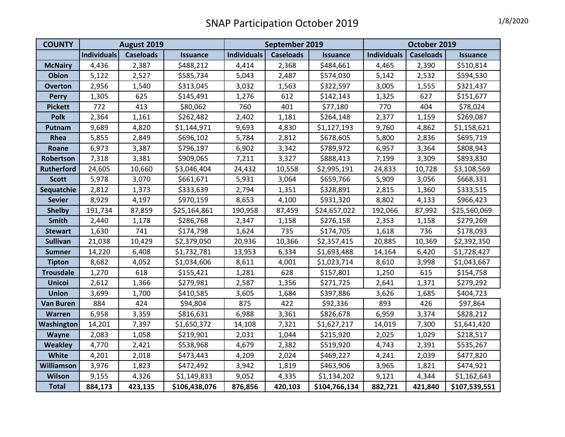| <b>COUNTY</b>     | August 2019 |                  |                 | September 2019     |                  |                 | October 2019       |                  |                 |
|-------------------|-------------|------------------|-----------------|--------------------|------------------|-----------------|--------------------|------------------|-----------------|
|                   | Individuals | <b>Caseloads</b> | <b>Issuance</b> | <b>Individuals</b> | <b>Caseloads</b> | <b>Issuance</b> | <b>Individuals</b> | <b>Caseloads</b> | <b>Issuance</b> |
| <b>McNairy</b>    | 4,436       | 2,387            | \$488,212       | 4,414              | 2,368            | \$484,661       | 4,465              | 2,390            | \$510,814       |
| <b>Obion</b>      | 5,122       | 2,527            | \$585,734       | 5,043              | 2,487            | \$574,030       | 5,142              | 2,532            | \$594,530       |
| <b>Overton</b>    | 2,956       | 1,540            | \$313,045       | 3,032              | 1,563            | \$322,597       | 3,005              | 1,555            | \$321,437       |
| <b>Perry</b>      | 1,305       | 625              | \$145,491       | 1,276              | 612              | \$142,143       | 1,325              | 627              | \$151,677       |
| <b>Pickett</b>    | 772         | 413              | \$80,062        | 760                | 401              | \$77,180        | 770                | 404              | \$78,024        |
| <b>Polk</b>       | 2,364       | 1,161            | \$262,482       | 2,402              | 1,181            | \$264,148       | 2,377              | 1,159            | \$269,087       |
| Putnam            | 9,689       | 4,820            | \$1,144,971     | 9,693              | 4,830            | \$1,127,193     | 9,760              | 4,862            | \$1,158,621     |
| Rhea              | 5,855       | 2,849            | \$696,102       | 5,784              | 2,812            | \$678,605       | 5,800              | 2,836            | \$695,719       |
| Roane             | 6,973       | 3,387            | \$796,197       | 6,902              | 3,342            | \$789,972       | 6,957              | 3,364            | \$808,943       |
| Robertson         | 7,318       | 3,381            | \$909,065       | 7,211              | 3,327            | \$888,413       | 7,199              | 3,309            | \$893,830       |
| <b>Rutherford</b> | 24,605      | 10,660           | \$3,046,404     | 24,432             | 10,558           | \$2,995,191     | 24,833             | 10,728           | \$3,108,569     |
| <b>Scott</b>      | 5,978       | 3,070            | \$661,671       | 5,931              | 3,064            | \$659,766       | 5,909              | 3,056            | \$668,331       |
| Sequatchie        | 2,812       | 1,373            | \$333,639       | 2,794              | 1,351            | \$328,891       | 2,815              | 1,360            | \$333,515       |
| <b>Sevier</b>     | 8,929       | 4,197            | \$970,159       | 8,653              | 4,100            | \$931,320       | 8,802              | 4,133            | \$966,423       |
| <b>Shelby</b>     | 191,734     | 87,859           | \$25,164,861    | 190,958            | 87,459           | \$24,657,022    | 192,066            | 87,992           | \$25,560,069    |
| <b>Smith</b>      | 2,440       | 1,178            | \$286,768       | 2,347              | 1,158            | \$276,158       | 2,353              | 1,158            | \$279,269       |
| <b>Stewart</b>    | 1,630       | 741              | \$174,798       | 1,624              | 735              | \$174,705       | 1,618              | 736              | \$178,093       |
| <b>Sullivan</b>   | 21,038      | 10,429           | \$2,379,050     | 20,936             | 10,366           | \$2,357,415     | 20,885             | 10,369           | \$2,392,350     |
| <b>Sumner</b>     | 14,220      | 6,408            | \$1,732,781     | 13,953             | 6,334            | \$1,693,488     | 14,164             | 6,420            | \$1,728,427     |
| <b>Tipton</b>     | 8,682       | 4,052            | \$1,034,606     | 8,611              | 4,001            | \$1,023,714     | 8,610              | 3,998            | \$1,043,667     |
| <b>Trousdale</b>  | 1,270       | 618              | \$155,421       | 1,281              | 628              | \$157,801       | 1,250              | 615              | \$154,758       |
| <b>Unicoi</b>     | 2,612       | 1,366            | \$279,981       | 2,587              | 1,356            | \$271,725       | 2,641              | 1,371            | \$279,292       |
| <b>Union</b>      | 3,699       | 1,700            | \$410,585       | 3,605              | 1,684            | \$397,886       | 3,626              | 1,685            | \$404,723       |
| <b>Van Buren</b>  | 884         | 424              | \$94,804        | 875                | 422              | \$92,336        | 893                | 426              | \$97,864        |
| <b>Warren</b>     | 6,958       | 3,359            | \$816,631       | 6,988              | 3,361            | \$826,678       | 6,959              | 3,374            | \$828,212       |
| Washington        | 14,201      | 7,397            | \$1,650,372     | 14,108             | 7,321            | \$1,627,217     | 14,019             | 7,300            | \$1,641,420     |
| Wayne             | 2,083       | 1,058            | \$219,901       | 2,031              | 1,044            | \$215,920       | 2,025              | 1,029            | \$218,517       |
| <b>Weakley</b>    | 4,770       | 2,421            | \$538,968       | 4,679              | 2,382            | \$519,920       | 4,743              | 2,391            | \$535,267       |
| White             | 4,201       | 2,018            | \$473,443       | 4,209              | 2,024            | \$469,227       | 4,241              | 2,039            | \$477,820       |
| <b>Williamson</b> | 3,976       | 1,823            | \$472,492       | 3,942              | 1,819            | \$463,906       | 3,965              | 1,821            | \$474,921       |
| Wilson            | 9,155       | 4,326            | \$1,149,833     | 9,052              | 4,335            | \$1,134,202     | 9,121              | 4,344            | \$1,162,643     |
| <b>Total</b>      | 884,173     | 423,135          | \$106,438,076   | 876,856            | 420,103          | \$104,766,134   | 882,721            | 421,840          | \$107,539,551   |